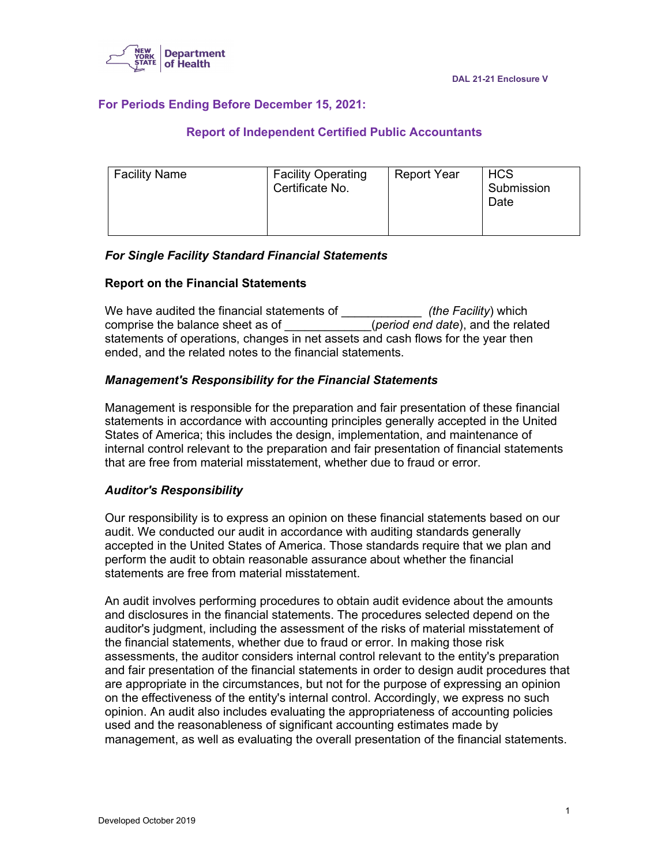

# **Report of Independent Certified Public Accountants**

| <b>Facility Name</b> | <b>Facility Operating</b><br>Certificate No. | <b>Report Year</b> | <b>HCS</b><br>Submission<br>Date |
|----------------------|----------------------------------------------|--------------------|----------------------------------|
|                      |                                              |                    |                                  |

## *For Single Facility Standard Financial Statements*

## **Report on the Financial Statements**

We have audited the financial statements of *(the Facility*) which comprise the balance sheet as of \_\_\_\_\_\_\_\_\_\_\_\_\_(*period end date*), and the related statements of operations, changes in net assets and cash flows for the year then ended, and the related notes to the financial statements.

## *Management's Responsibility for the Financial Statements*

Management is responsible for the preparation and fair presentation of these financial statements in accordance with accounting principles generally accepted in the United States of America; this includes the design, implementation, and maintenance of internal control relevant to the preparation and fair presentation of financial statements that are free from material misstatement, whether due to fraud or error.

## *Auditor's Responsibility*

Our responsibility is to express an opinion on these financial statements based on our audit. We conducted our audit in accordance with auditing standards generally accepted in the United States of America. Those standards require that we plan and perform the audit to obtain reasonable assurance about whether the financial statements are free from material misstatement.

An audit involves performing procedures to obtain audit evidence about the amounts and disclosures in the financial statements. The procedures selected depend on the auditor's judgment, including the assessment of the risks of material misstatement of the financial statements, whether due to fraud or error. In making those risk assessments, the auditor considers internal control relevant to the entity's preparation and fair presentation of the financial statements in order to design audit procedures that are appropriate in the circumstances, but not for the purpose of expressing an opinion on the effectiveness of the entity's internal control. Accordingly, we express no such opinion. An audit also includes evaluating the appropriateness of accounting policies used and the reasonableness of significant accounting estimates made by management, as well as evaluating the overall presentation of the financial statements.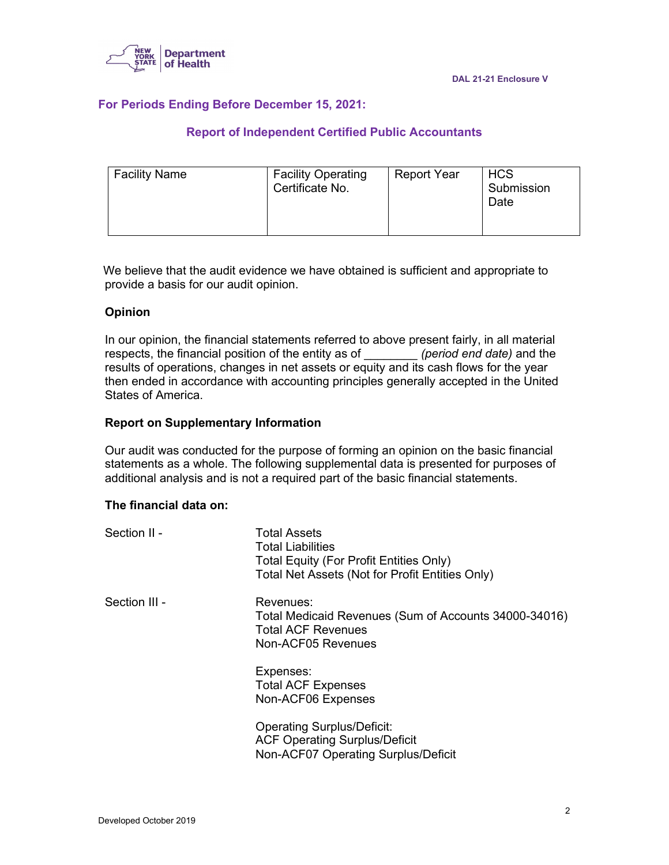

## **Report of Independent Certified Public Accountants**

| <b>Facility Name</b> | <b>Facility Operating</b><br>Certificate No. | <b>Report Year</b> | <b>HCS</b><br>Submission<br>Date |
|----------------------|----------------------------------------------|--------------------|----------------------------------|
|                      |                                              |                    |                                  |

We believe that the audit evidence we have obtained is sufficient and appropriate to provide a basis for our audit opinion.

#### **Opinion**

In our opinion, the financial statements referred to above present fairly, in all material respects, the financial position of the entity as of \_\_\_\_\_\_\_\_ *(period end date)* and the results of operations, changes in net assets or equity and its cash flows for the year then ended in accordance with accounting principles generally accepted in the United States of America.

#### **Report on Supplementary Information**

Our audit was conducted for the purpose of forming an opinion on the basic financial statements as a whole. The following supplemental data is presented for purposes of additional analysis and is not a required part of the basic financial statements.

#### **The financial data on:**

| Section II -  | <b>Total Assets</b><br><b>Total Liabilities</b><br><b>Total Equity (For Profit Entities Only)</b><br>Total Net Assets (Not for Profit Entities Only) |
|---------------|------------------------------------------------------------------------------------------------------------------------------------------------------|
| Section III - | Revenues:<br>Total Medicaid Revenues (Sum of Accounts 34000-34016)<br><b>Total ACF Revenues</b><br>Non-ACF05 Revenues                                |
|               | Expenses:<br><b>Total ACF Expenses</b><br>Non-ACF06 Expenses                                                                                         |
|               | <b>Operating Surplus/Deficit:</b><br><b>ACF Operating Surplus/Deficit</b><br>Non-ACF07 Operating Surplus/Deficit                                     |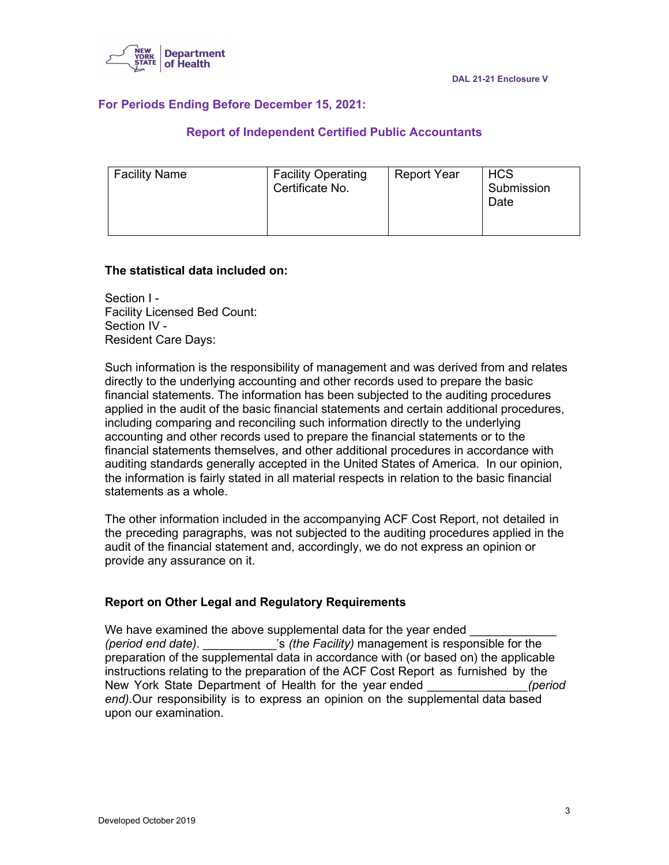

## **Report of Independent Certified Public Accountants**

| <b>Facility Name</b> | <b>Facility Operating</b><br>Certificate No. | <b>Report Year</b> | <b>HCS</b><br>Submission<br>Date |
|----------------------|----------------------------------------------|--------------------|----------------------------------|
|                      |                                              |                    |                                  |

## **The statistical data included on:**

Section I - Facility Licensed Bed Count: Section IV - Resident Care Days:

Such information is the responsibility of management and was derived from and relates directly to the underlying accounting and other records used to prepare the basic financial statements. The information has been subjected to the auditing procedures applied in the audit of the basic financial statements and certain additional procedures, including comparing and reconciling such information directly to the underlying accounting and other records used to prepare the financial statements or to the financial statements themselves, and other additional procedures in accordance with auditing standards generally accepted in the United States of America. In our opinion, the information is fairly stated in all material respects in relation to the basic financial statements as a whole.

The other information included in the accompanying ACF Cost Report, not detailed in the preceding paragraphs, was not subjected to the auditing procedures applied in the audit of the financial statement and, accordingly, we do not express an opinion or provide any assurance on it.

## **Report on Other Legal and Regulatory Requirements**

We have examined the above supplemental data for the year ended *(period end date)*. \_\_\_\_\_\_\_\_\_\_\_'s *(the Facility)* management is responsible for the preparation of the supplemental data in accordance with (or based on) the applicable instructions relating to the preparation of the ACF Cost Report as furnished by the New York State Department of Health for the year ended *\_\_\_\_\_\_\_\_\_\_\_\_\_\_\_(period end)*.Our responsibility is to express an opinion on the supplemental data based upon our examination.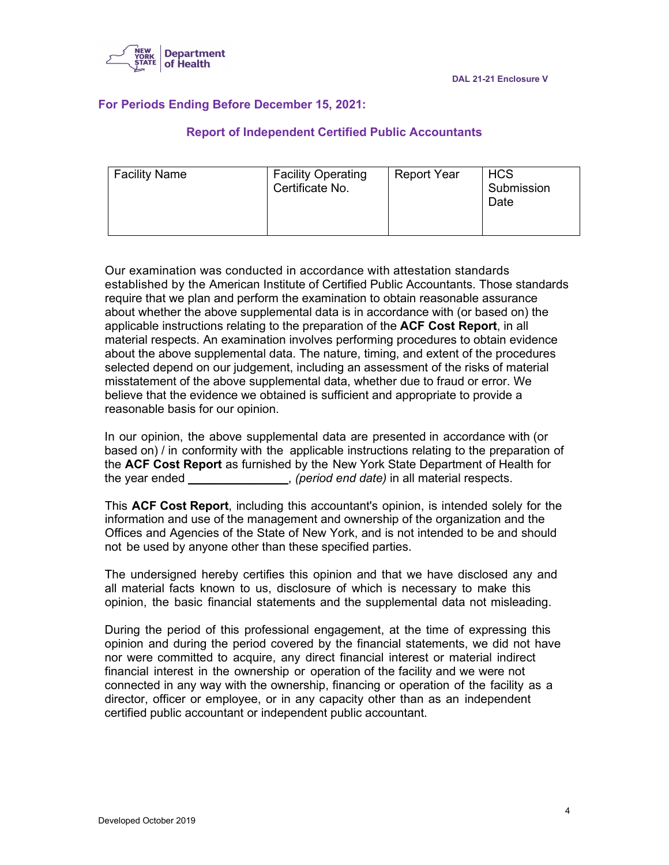

## **Report of Independent Certified Public Accountants**

| <b>Facility Name</b> | <b>Facility Operating</b><br>Certificate No. | <b>Report Year</b> | <b>HCS</b><br>Submission<br>Date |
|----------------------|----------------------------------------------|--------------------|----------------------------------|
|                      |                                              |                    |                                  |

Our examination was conducted in accordance with attestation standards established by the American Institute of Certified Public Accountants. Those standards require that we plan and perform the examination to obtain reasonable assurance about whether the above supplemental data is in accordance with (or based on) the applicable instructions relating to the preparation of the **ACF Cost Report**, in all material respects. An examination involves performing procedures to obtain evidence about the above supplemental data. The nature, timing, and extent of the procedures selected depend on our judgement, including an assessment of the risks of material misstatement of the above supplemental data, whether due to fraud or error. We believe that the evidence we obtained is sufficient and appropriate to provide a reasonable basis for our opinion.

In our opinion, the above supplemental data are presented in accordance with (or based on) / in conformity with the applicable instructions relating to the preparation of the **ACF Cost Report** as furnished by the New York State Department of Health for the year ended \_\_\_\_\_\_\_\_\_\_\_\_\_\_\_, *(period end date)* in all material respects.

This **ACF Cost Report**, including this accountant's opinion, is intended solely for the information and use of the management and ownership of the organization and the Offices and Agencies of the State of New York, and is not intended to be and should not be used by anyone other than these specified parties.

The undersigned hereby certifies this opinion and that we have disclosed any and all material facts known to us, disclosure of which is necessary to make this opinion, the basic financial statements and the supplemental data not misleading.

During the period of this professional engagement, at the time of expressing this opinion and during the period covered by the financial statements, we did not have nor were committed to acquire, any direct financial interest or material indirect financial interest in the ownership or operation of the facility and we were not connected in any way with the ownership, financing or operation of the facility as a director, officer or employee, or in any capacity other than as an independent certified public accountant or independent public accountant.